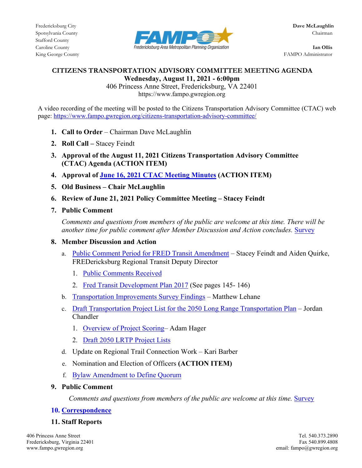

King George County FAMPO Administrator

### **CITIZENS TRANSPORTATION ADVISORY COMMITTEE MEETING AGENDA Wednesday, August 11, 2021 - 6:00pm**

406 Princess Anne Street, Fredericksburg, VA 22401 https://www.fampo.gwregion.org

A video recording of the meeting will be posted to the Citizens Transportation Advisory Committee (CTAC) web page[: https://www.fampo.gwregion.org/citizens-transportation-advisory-committee/](https://www.fampo.gwregion.org/citizens-transportation-advisory-committee/) 

- 1. **Call to Order** Chairman Dave McLaughlin
- **2. Roll Call** Stacey Feindt
- **3. Approval of the August 11, 2021 Citizens Transportation Advisory Committee (CTAC) Agenda (ACTION ITEM)**
- **4. Approval of [June 16, 2021 CTAC Meeting Minutes](https://www.fampo.gwregion.org/wp-content/uploads/2021/07/2021.06.16-CTAC_Draft-Minutes_Staff-Reviewed.pdf) (ACTION ITEM)**
- **5. Old Business Chair McLaughlin**
- **6. Review of June 21, 2021 Policy Committee Meeting Stacey Feindt**
- **7. Public Comment**

*Comments and questions from members of the public are welcome at this time. There will be another time for public comment after Member Discussion and Action concludes.* [Survey](https://www.fampo.gwregion.org/wp-content/uploads/2020/11/Post_Meeting_Survey_Screenshare.pdf)

- **8. Member Discussion and Action**
	- a. [Public Comment Period for FRED Transit Amendment](https://www.fampo.gwregion.org/public-involvement/)  Stacey Feindt and Aiden Quirke, FREDericksburg Regional Transit Deputy Director
		- 1. [Public Comments Received](https://www.fampo.gwregion.org/wp-content/uploads/2021/08/Comments-Received-on-a-Proposed-Amendment-to-the-Transportation-Improvement-Program.pdf)
		- 2. [Fred Transit Development Plan 2017](https://www.fredericksburgva.gov/DocumentCenter/View/18678/FREDTransitTDP_2018_2027?bidId=) (See pages 145- 146)
	- b. [Transportation Improvements Survey Findings](https://www.fampo.gwregion.org/wp-content/uploads/2021/07/7a_Transportation-Improvements-Survey-Findings.pdf)  Matthew Lehane
	- c. [Draft Transportation Project List for the 2050 Long Range Transportation Plan](https://www.fampo.gwregion.org/wp-content/uploads/2021/08/LRTP-Update-August-2021-v2-CTAC.pdf)  Jordan Chandler
		- 1. [Overview of Project Scoring–](https://www.fampo.gwregion.org/wp-content/uploads/2021/08/2050-LRTP-New-Candidate-Project-Scoring-Draft-20210727.pdf) Adam Hager
		- 2. [Draft 2050 LRTP Project Lists](https://www.fampo.gwregion.org/wp-content/uploads/2021/08/FAMPO-CLRP-List-20210722-Draft.pdf)
	- d. Update on Regional Trail Connection Work Kari Barber
	- e. Nomination and Election of Officers **(ACTION ITEM)**
	- f. [Bylaw Amendment to Define Quorum](https://www.fampo.gwregion.org/wp-content/uploads/2021/08/CTAC-Bylaws-with-Proposed-Quorum.pdf)

# **9. Public Comment**

 *Comments and questions from members of the public are welcome at this time.* [Survey](https://www.fampo.gwregion.org/wp-content/uploads/2020/11/Post_Meeting_Survey_Screenshare.pdf)

# **10. [Correspondence](https://www.fampo.gwregion.org/wp-content/uploads/2021/08/Public-Comment-Jane-Leeds-July-28-2021.pdf)**

# **11. Staff Reports**

Fredericksburg, Virginia 22401<br>www.fampo.gwregion.org